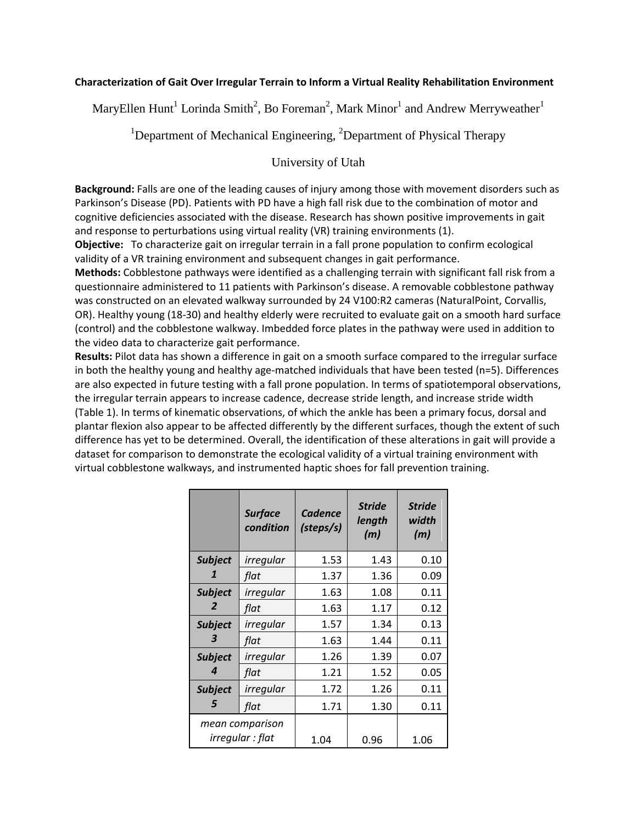## **Characterization of Gait Over Irregular Terrain to Inform a Virtual Reality Rehabilitation Environment**

MaryEllen Hunt<sup>1</sup> Lorinda Smith<sup>2</sup>, Bo Foreman<sup>2</sup>, Mark Minor<sup>1</sup> and Andrew Merryweather<sup>1</sup>

<sup>1</sup>Department of Mechanical Engineering,  ${}^{2}$ Department of Physical Therapy

## University of Utah

**Background:** Falls are one of the leading causes of injury among those with movement disorders such as Parkinson's Disease (PD). Patients with PD have a high fall risk due to the combination of motor and cognitive deficiencies associated with the disease. Research has shown positive improvements in gait and response to perturbations using virtual reality (VR) training environments (1).

**Objective:** To characterize gait on irregular terrain in a fall prone population to confirm ecological validity of a VR training environment and subsequent changes in gait performance.

**Methods:** Cobblestone pathways were identified as a challenging terrain with significant fall risk from a questionnaire administered to 11 patients with Parkinson's disease. A removable cobblestone pathway was constructed on an elevated walkway surrounded by 24 V100:R2 cameras (NaturalPoint, Corvallis, OR). Healthy young (18-30) and healthy elderly were recruited to evaluate gait on a smooth hard surface (control) and the cobblestone walkway. Imbedded force plates in the pathway were used in addition to the video data to characterize gait performance.

**Results:** Pilot data has shown a difference in gait on a smooth surface compared to the irregular surface in both the healthy young and healthy age-matched individuals that have been tested (n=5). Differences are also expected in future testing with a fall prone population. In terms of spatiotemporal observations, the irregular terrain appears to increase cadence, decrease stride length, and increase stride width (Table 1). In terms of kinematic observations, of which the ankle has been a primary focus, dorsal and plantar flexion also appear to be affected differently by the different surfaces, though the extent of such difference has yet to be determined. Overall, the identification of these alterations in gait will provide a dataset for comparison to demonstrate the ecological validity of a virtual training environment with virtual cobblestone walkways, and instrumented haptic shoes for fall prevention training.

|                                     | <b>Surface</b><br>condition | <b>Cadence</b><br>(steps/s) | <b>Stride</b><br>length<br>(m) | <b>Stride</b><br>width<br>(m) |
|-------------------------------------|-----------------------------|-----------------------------|--------------------------------|-------------------------------|
| <b>Subject</b><br>1                 | irregular                   | 1.53                        | 1.43                           | 0.10                          |
|                                     | flat                        | 1.37                        | 1.36                           | 0.09                          |
| <b>Subject</b><br>2                 | irregular                   | 1.63                        | 1.08                           | 0.11                          |
|                                     | flat                        | 1.63                        | 1.17                           | 0.12                          |
| <b>Subject</b><br>3                 | irregular                   | 1.57                        | 1.34                           | 0.13                          |
|                                     | flat                        | 1.63                        | 1.44                           | 0.11                          |
| <b>Subject</b><br>4                 | irregular                   | 1.26                        | 1.39                           | 0.07                          |
|                                     | flat                        | 1.21                        | 1.52                           | 0.05                          |
| <b>Subject</b><br>5                 | irregular                   | 1.72                        | 1.26                           | 0.11                          |
|                                     | flat                        | 1.71                        | 1.30                           | 0.11                          |
| mean comparison<br>irregular : flat |                             | 1.04                        | 0.96                           | 1.06                          |